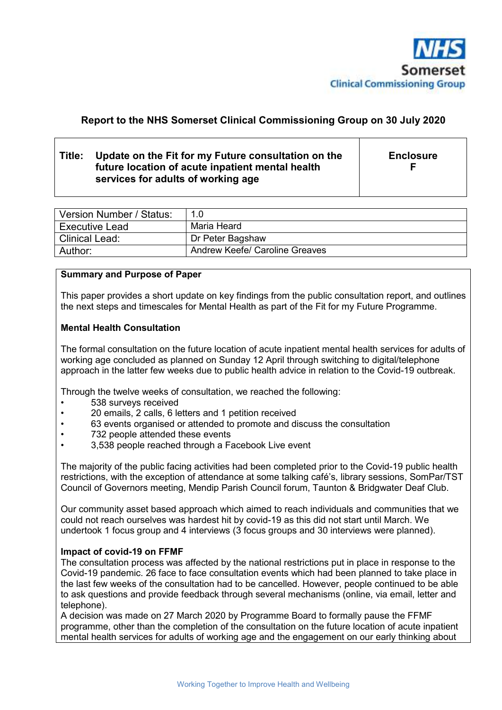

# **Report to the NHS Somerset Clinical Commissioning Group on 30 July 2020**

# **Title: Update on the Fit for my Future consultation on the future location of acute inpatient mental health services for adults of working age**

**Enclosure F** 

| Version Number / Status: | 1.0                                   |
|--------------------------|---------------------------------------|
| <b>Executive Lead</b>    | Maria Heard                           |
| <b>Clinical Lead:</b>    | Dr Peter Bagshaw                      |
| Author:                  | <b>Andrew Keefe/ Caroline Greaves</b> |

#### **Summary and Purpose of Paper**

This paper provides a short update on key findings from the public consultation report, and outlines the next steps and timescales for Mental Health as part of the Fit for my Future Programme.

#### **Mental Health Consultation**

The formal consultation on the future location of acute inpatient mental health services for adults of working age concluded as planned on Sunday 12 April through switching to digital/telephone approach in the latter few weeks due to public health advice in relation to the Covid-19 outbreak.

Through the twelve weeks of consultation, we reached the following:

- 538 surveys received
- 20 emails, 2 calls, 6 letters and 1 petition received
- 63 events organised or attended to promote and discuss the consultation
- 732 people attended these events
- 3,538 people reached through a Facebook Live event

The majority of the public facing activities had been completed prior to the Covid-19 public health restrictions, with the exception of attendance at some talking café's, library sessions, SomPar/TST Council of Governors meeting, Mendip Parish Council forum, Taunton & Bridgwater Deaf Club.

Our community asset based approach which aimed to reach individuals and communities that we could not reach ourselves was hardest hit by covid-19 as this did not start until March. We undertook 1 focus group and 4 interviews (3 focus groups and 30 interviews were planned).

#### **Impact of covid-19 on FFMF**

The consultation process was affected by the national restrictions put in place in response to the Covid-19 pandemic. 26 face to face consultation events which had been planned to take place in the last few weeks of the consultation had to be cancelled. However, people continued to be able to ask questions and provide feedback through several mechanisms (online, via email, letter and telephone).

A decision was made on 27 March 2020 by Programme Board to formally pause the FFMF programme, other than the completion of the consultation on the future location of acute inpatient mental health services for adults of working age and the engagement on our early thinking about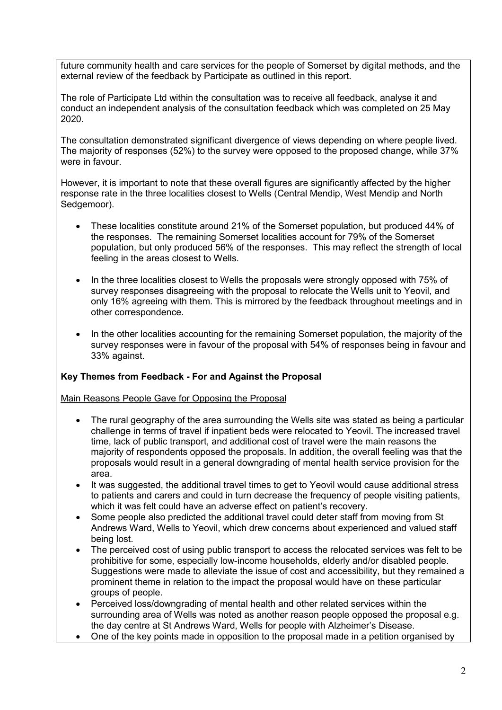future community health and care services for the people of Somerset by digital methods, and the external review of the feedback by Participate as outlined in this report.

The role of Participate Ltd within the consultation was to receive all feedback, analyse it and conduct an independent analysis of the consultation feedback which was completed on 25 May 2020.

The consultation demonstrated significant divergence of views depending on where people lived. The majority of responses (52%) to the survey were opposed to the proposed change, while 37% were in favour.

However, it is important to note that these overall figures are significantly affected by the higher response rate in the three localities closest to Wells (Central Mendip, West Mendip and North Sedgemoor).

- These localities constitute around 21% of the Somerset population, but produced 44% of the responses. The remaining Somerset localities account for 79% of the Somerset population, but only produced 56% of the responses. This may reflect the strength of local feeling in the areas closest to Wells.
- In the three localities closest to Wells the proposals were strongly opposed with 75% of survey responses disagreeing with the proposal to relocate the Wells unit to Yeovil, and only 16% agreeing with them. This is mirrored by the feedback throughout meetings and in other correspondence.
- In the other localities accounting for the remaining Somerset population, the majority of the survey responses were in favour of the proposal with 54% of responses being in favour and 33% against.

## **Key Themes from Feedback - For and Against the Proposal**

Main Reasons People Gave for Opposing the Proposal

- The rural geography of the area surrounding the Wells site was stated as being a particular challenge in terms of travel if inpatient beds were relocated to Yeovil. The increased travel time, lack of public transport, and additional cost of travel were the main reasons the majority of respondents opposed the proposals. In addition, the overall feeling was that the proposals would result in a general downgrading of mental health service provision for the area.
- It was suggested, the additional travel times to get to Yeovil would cause additional stress to patients and carers and could in turn decrease the frequency of people visiting patients, which it was felt could have an adverse effect on patient's recovery.
- Some people also predicted the additional travel could deter staff from moving from St Andrews Ward, Wells to Yeovil, which drew concerns about experienced and valued staff being lost.
- The perceived cost of using public transport to access the relocated services was felt to be prohibitive for some, especially low-income households, elderly and/or disabled people. Suggestions were made to alleviate the issue of cost and accessibility, but they remained a prominent theme in relation to the impact the proposal would have on these particular groups of people.
- Perceived loss/downgrading of mental health and other related services within the surrounding area of Wells was noted as another reason people opposed the proposal e.g. the day centre at St Andrews Ward, Wells for people with Alzheimer's Disease.
- One of the key points made in opposition to the proposal made in a petition organised by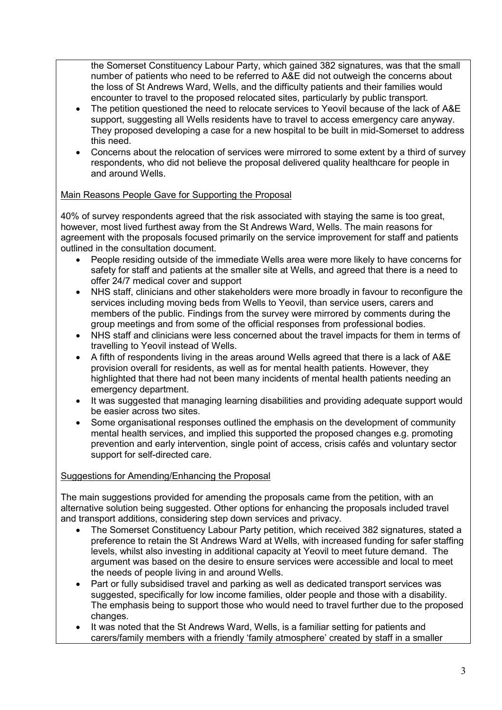the Somerset Constituency Labour Party, which gained 382 signatures, was that the small number of patients who need to be referred to A&E did not outweigh the concerns about the loss of St Andrews Ward, Wells, and the difficulty patients and their families would encounter to travel to the proposed relocated sites, particularly by public transport.

- The petition questioned the need to relocate services to Yeovil because of the lack of A&E support, suggesting all Wells residents have to travel to access emergency care anyway. They proposed developing a case for a new hospital to be built in mid-Somerset to address this need.
- Concerns about the relocation of services were mirrored to some extent by a third of survey respondents, who did not believe the proposal delivered quality healthcare for people in and around Wells.

## Main Reasons People Gave for Supporting the Proposal

40% of survey respondents agreed that the risk associated with staying the same is too great, however, most lived furthest away from the St Andrews Ward, Wells. The main reasons for agreement with the proposals focused primarily on the service improvement for staff and patients outlined in the consultation document.

- People residing outside of the immediate Wells area were more likely to have concerns for safety for staff and patients at the smaller site at Wells, and agreed that there is a need to offer 24/7 medical cover and support
- NHS staff, clinicians and other stakeholders were more broadly in favour to reconfigure the services including moving beds from Wells to Yeovil, than service users, carers and members of the public. Findings from the survey were mirrored by comments during the group meetings and from some of the official responses from professional bodies.
- NHS staff and clinicians were less concerned about the travel impacts for them in terms of travelling to Yeovil instead of Wells.
- A fifth of respondents living in the areas around Wells agreed that there is a lack of A&E provision overall for residents, as well as for mental health patients. However, they highlighted that there had not been many incidents of mental health patients needing an emergency department.
- It was suggested that managing learning disabilities and providing adequate support would be easier across two sites.
- Some organisational responses outlined the emphasis on the development of community mental health services, and implied this supported the proposed changes e.g. promoting prevention and early intervention, single point of access, crisis cafés and voluntary sector support for self-directed care.

# Suggestions for Amending/Enhancing the Proposal

The main suggestions provided for amending the proposals came from the petition, with an alternative solution being suggested. Other options for enhancing the proposals included travel and transport additions, considering step down services and privacy.

- The Somerset Constituency Labour Party petition, which received 382 signatures, stated a preference to retain the St Andrews Ward at Wells, with increased funding for safer staffing levels, whilst also investing in additional capacity at Yeovil to meet future demand. The argument was based on the desire to ensure services were accessible and local to meet the needs of people living in and around Wells.
- Part or fully subsidised travel and parking as well as dedicated transport services was suggested, specifically for low income families, older people and those with a disability. The emphasis being to support those who would need to travel further due to the proposed changes.
- It was noted that the St Andrews Ward, Wells, is a familiar setting for patients and carers/family members with a friendly 'family atmosphere' created by staff in a smaller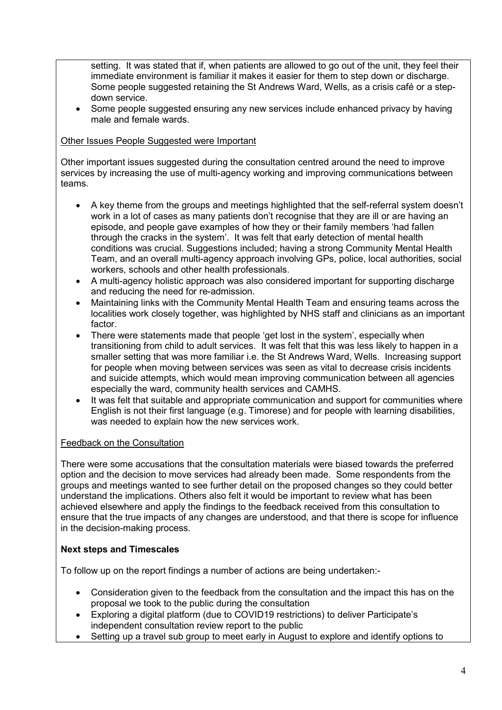setting. It was stated that if, when patients are allowed to go out of the unit, they feel their immediate environment is familiar it makes it easier for them to step down or discharge. Some people suggested retaining the St Andrews Ward, Wells, as a crisis café or a stepdown service.

 Some people suggested ensuring any new services include enhanced privacy by having male and female wards.

## Other Issues People Suggested were Important

Other important issues suggested during the consultation centred around the need to improve services by increasing the use of multi-agency working and improving communications between teams.

- A key theme from the groups and meetings highlighted that the self-referral system doesn't work in a lot of cases as many patients don't recognise that they are ill or are having an episode, and people gave examples of how they or their family members 'had fallen through the cracks in the system'. It was felt that early detection of mental health conditions was crucial. Suggestions included; having a strong Community Mental Health Team, and an overall multi-agency approach involving GPs, police, local authorities, social workers, schools and other health professionals.
- A multi-agency holistic approach was also considered important for supporting discharge and reducing the need for re-admission.
- Maintaining links with the Community Mental Health Team and ensuring teams across the localities work closely together, was highlighted by NHS staff and clinicians as an important factor.
- There were statements made that people 'get lost in the system', especially when transitioning from child to adult services. It was felt that this was less likely to happen in a smaller setting that was more familiar i.e. the St Andrews Ward, Wells. Increasing support for people when moving between services was seen as vital to decrease crisis incidents and suicide attempts, which would mean improving communication between all agencies especially the ward, community health services and CAMHS.
- It was felt that suitable and appropriate communication and support for communities where English is not their first language (e.g. Timorese) and for people with learning disabilities, was needed to explain how the new services work.

## Feedback on the Consultation

There were some accusations that the consultation materials were biased towards the preferred option and the decision to move services had already been made. Some respondents from the groups and meetings wanted to see further detail on the proposed changes so they could better understand the implications. Others also felt it would be important to review what has been achieved elsewhere and apply the findings to the feedback received from this consultation to ensure that the true impacts of any changes are understood, and that there is scope for influence in the decision-making process.

## **Next steps and Timescales**

To follow up on the report findings a number of actions are being undertaken:-

- Consideration given to the feedback from the consultation and the impact this has on the proposal we took to the public during the consultation
- Exploring a digital platform (due to COVID19 restrictions) to deliver Participate's independent consultation review report to the public
- Setting up a travel sub group to meet early in August to explore and identify options to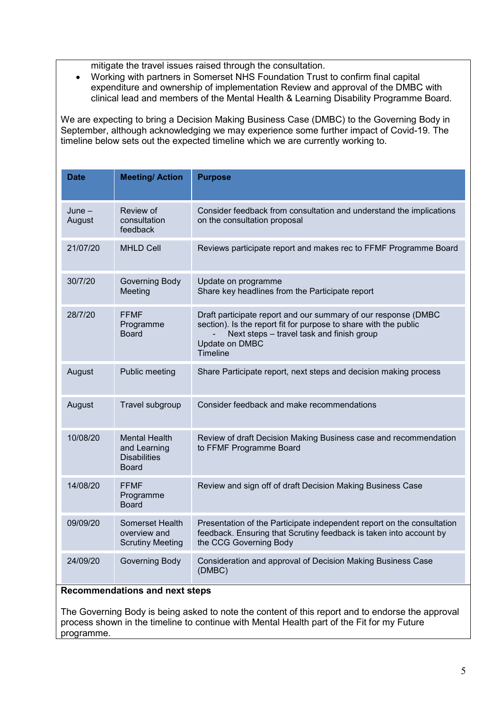mitigate the travel issues raised through the consultation.

 Working with partners in Somerset NHS Foundation Trust to confirm final capital expenditure and ownership of implementation Review and approval of the DMBC with clinical lead and members of the Mental Health & Learning Disability Programme Board.

We are expecting to bring a Decision Making Business Case (DMBC) to the Governing Body in September, although acknowledging we may experience some further impact of Covid-19. The timeline below sets out the expected timeline which we are currently working to.

| Date               | <b>Meeting/Action</b>                                                | <b>Purpose</b>                                                                                                                                                                                                |  |  |
|--------------------|----------------------------------------------------------------------|---------------------------------------------------------------------------------------------------------------------------------------------------------------------------------------------------------------|--|--|
| $June -$<br>August | Review of<br>consultation<br>feedback                                | Consider feedback from consultation and understand the implications<br>on the consultation proposal                                                                                                           |  |  |
| 21/07/20           | <b>MHLD Cell</b>                                                     | Reviews participate report and makes rec to FFMF Programme Board                                                                                                                                              |  |  |
| 30/7/20            | Governing Body<br>Meeting                                            | Update on programme<br>Share key headlines from the Participate report                                                                                                                                        |  |  |
| 28/7/20            | <b>FFMF</b><br>Programme<br><b>Board</b>                             | Draft participate report and our summary of our response (DMBC<br>section). Is the report fit for purpose to share with the public<br>Next steps - travel task and finish group<br>Update on DMBC<br>Timeline |  |  |
| August             | Public meeting                                                       | Share Participate report, next steps and decision making process                                                                                                                                              |  |  |
| August             | Travel subgroup                                                      | Consider feedback and make recommendations                                                                                                                                                                    |  |  |
| 10/08/20           | <b>Mental Health</b><br>and Learning<br><b>Disabilities</b><br>Board | Review of draft Decision Making Business case and recommendation<br>to FFMF Programme Board                                                                                                                   |  |  |
| 14/08/20           | <b>FFMF</b><br>Programme<br><b>Board</b>                             | Review and sign off of draft Decision Making Business Case                                                                                                                                                    |  |  |
| 09/09/20           | Somerset Health<br>overview and<br><b>Scrutiny Meeting</b>           | Presentation of the Participate independent report on the consultation<br>feedback. Ensuring that Scrutiny feedback is taken into account by<br>the CCG Governing Body                                        |  |  |
| 24/09/20           | Governing Body<br><b>Recommendations and next steps</b>              | Consideration and approval of Decision Making Business Case<br>(DMBC)                                                                                                                                         |  |  |

The Governing Body is being asked to note the content of this report and to endorse the approval process shown in the timeline to continue with Mental Health part of the Fit for my Future programme.